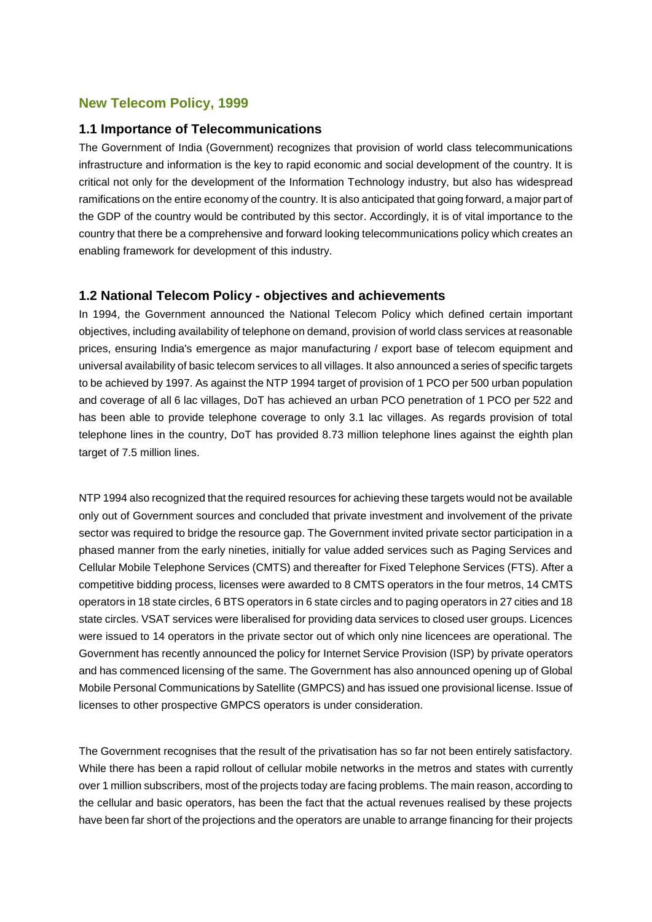### **New Telecom Policy, 1999**

#### **1.1 Importance of Telecommunications**

The Government of India (Government) recognizes that provision of world class telecommunications infrastructure and information is the key to rapid economic and social development of the country. It is critical not only for the development of the Information Technology industry, but also has widespread ramifications on the entire economy of the country. It is also anticipated that going forward, a major part of the GDP of the country would be contributed by this sector. Accordingly, it is of vital importance to the country that there be a comprehensive and forward looking telecommunications policy which creates an enabling framework for development of this industry.

#### **1.2 National Telecom Policy - objectives and achievements**

In 1994, the Government announced the National Telecom Policy which defined certain important objectives, including availability of telephone on demand, provision of world class services at reasonable prices, ensuring India's emergence as major manufacturing / export base of telecom equipment and universal availability of basic telecom services to all villages. It also announced a series of specific targets to be achieved by 1997. As against the NTP 1994 target of provision of 1 PCO per 500 urban population and coverage of all 6 lac villages, DoT has achieved an urban PCO penetration of 1 PCO per 522 and has been able to provide telephone coverage to only 3.1 lac villages. As regards provision of total telephone lines in the country, DoT has provided 8.73 million telephone lines against the eighth plan target of 7.5 million lines.

NTP 1994 also recognized that the required resources for achieving these targets would not be available only out of Government sources and concluded that private investment and involvement of the private sector was required to bridge the resource gap. The Government invited private sector participation in a phased manner from the early nineties, initially for value added services such as Paging Services and Cellular Mobile Telephone Services (CMTS) and thereafter for Fixed Telephone Services (FTS). After a competitive bidding process, licenses were awarded to 8 CMTS operators in the four metros, 14 CMTS operators in 18 state circles, 6 BTS operators in 6 state circles and to paging operators in 27 cities and 18 state circles. VSAT services were liberalised for providing data services to closed user groups. Licences were issued to 14 operators in the private sector out of which only nine licencees are operational. The Government has recently announced the policy for Internet Service Provision (ISP) by private operators and has commenced licensing of the same. The Government has also announced opening up of Global Mobile Personal Communications by Satellite (GMPCS) and has issued one provisional license. Issue of licenses to other prospective GMPCS operators is under consideration.

The Government recognises that the result of the privatisation has so far not been entirely satisfactory. While there has been a rapid rollout of cellular mobile networks in the metros and states with currently over 1 million subscribers, most of the projects today are facing problems. The main reason, according to the cellular and basic operators, has been the fact that the actual revenues realised by these projects have been far short of the projections and the operators are unable to arrange financing for their projects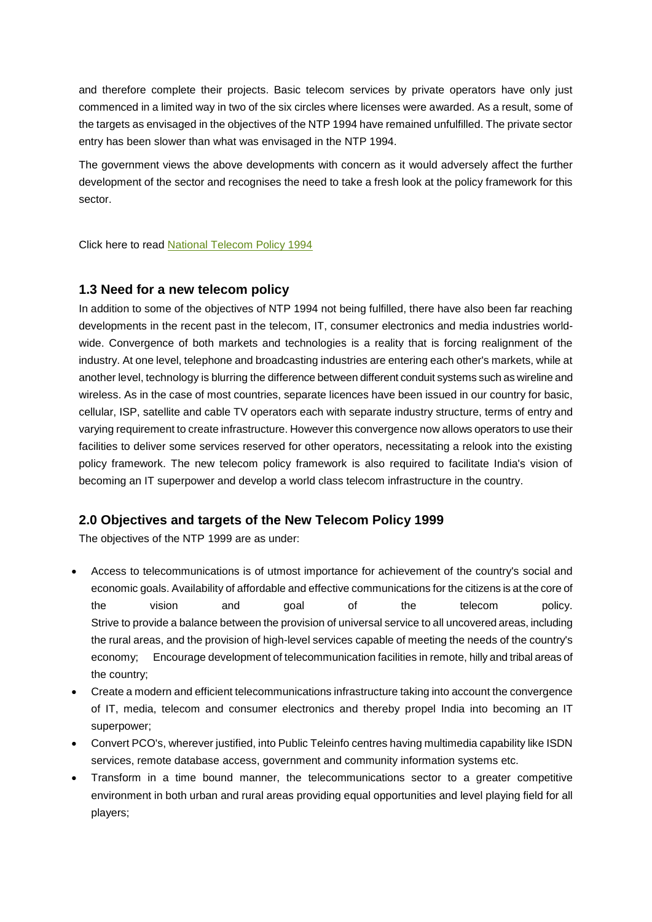and therefore complete their projects. Basic telecom services by private operators have only just commenced in a limited way in two of the six circles where licenses were awarded. As a result, some of the targets as envisaged in the objectives of the NTP 1994 have remained unfulfilled. The private sector entry has been slower than what was envisaged in the NTP 1994.

The government views the above developments with concern as it would adversely affect the further development of the sector and recognises the need to take a fresh look at the policy framework for this sector.

Click here to read [National Telecom Policy 1994](http://www.dot.gov.in/telecom-polices/national-telecom-policy-1994)

#### **1.3 Need for a new telecom policy**

In addition to some of the objectives of NTP 1994 not being fulfilled, there have also been far reaching developments in the recent past in the telecom, IT, consumer electronics and media industries worldwide. Convergence of both markets and technologies is a reality that is forcing realignment of the industry. At one level, telephone and broadcasting industries are entering each other's markets, while at another level, technology is blurring the difference between different conduit systems such as wireline and wireless. As in the case of most countries, separate licences have been issued in our country for basic, cellular, ISP, satellite and cable TV operators each with separate industry structure, terms of entry and varying requirement to create infrastructure. However this convergence now allows operators to use their facilities to deliver some services reserved for other operators, necessitating a relook into the existing policy framework. The new telecom policy framework is also required to facilitate India's vision of becoming an IT superpower and develop a world class telecom infrastructure in the country.

#### **2.0 Objectives and targets of the New Telecom Policy 1999**

The objectives of the NTP 1999 are as under:

- Access to telecommunications is of utmost importance for achievement of the country's social and economic goals. Availability of affordable and effective communications for the citizens is at the core of the vision and goal of the telecom policy. Strive to provide a balance between the provision of universal service to all uncovered areas, including the rural areas, and the provision of high-level services capable of meeting the needs of the country's economy; Encourage development of telecommunication facilities in remote, hilly and tribal areas of the country;
- Create a modern and efficient telecommunications infrastructure taking into account the convergence of IT, media, telecom and consumer electronics and thereby propel India into becoming an IT superpower;
- Convert PCO's, wherever justified, into Public Teleinfo centres having multimedia capability like ISDN services, remote database access, government and community information systems etc.
- Transform in a time bound manner, the telecommunications sector to a greater competitive environment in both urban and rural areas providing equal opportunities and level playing field for all players;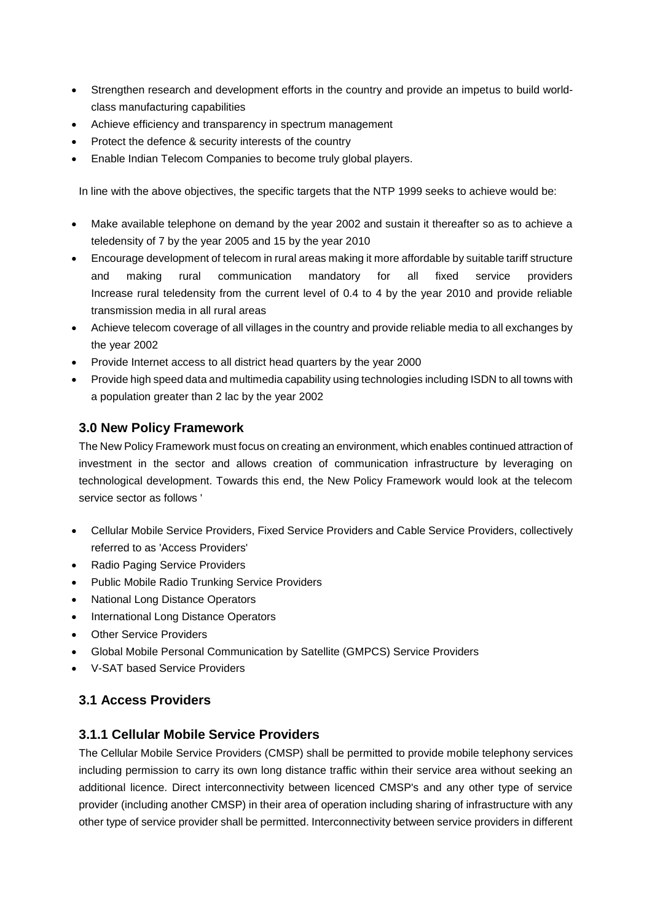- Strengthen research and development efforts in the country and provide an impetus to build worldclass manufacturing capabilities
- Achieve efficiency and transparency in spectrum management
- Protect the defence & security interests of the country
- Enable Indian Telecom Companies to become truly global players.

In line with the above objectives, the specific targets that the NTP 1999 seeks to achieve would be:

- Make available telephone on demand by the year 2002 and sustain it thereafter so as to achieve a teledensity of 7 by the year 2005 and 15 by the year 2010
- Encourage development of telecom in rural areas making it more affordable by suitable tariff structure and making rural communication mandatory for all fixed service providers Increase rural teledensity from the current level of 0.4 to 4 by the year 2010 and provide reliable transmission media in all rural areas
- Achieve telecom coverage of all villages in the country and provide reliable media to all exchanges by the year 2002
- Provide Internet access to all district head quarters by the year 2000
- Provide high speed data and multimedia capability using technologies including ISDN to all towns with a population greater than 2 lac by the year 2002

### **3.0 New Policy Framework**

The New Policy Framework must focus on creating an environment, which enables continued attraction of investment in the sector and allows creation of communication infrastructure by leveraging on technological development. Towards this end, the New Policy Framework would look at the telecom service sector as follows '

- Cellular Mobile Service Providers, Fixed Service Providers and Cable Service Providers, collectively referred to as 'Access Providers'
- Radio Paging Service Providers
- Public Mobile Radio Trunking Service Providers
- National Long Distance Operators
- International Long Distance Operators
- Other Service Providers
- Global Mobile Personal Communication by Satellite (GMPCS) Service Providers
- V-SAT based Service Providers

## **3.1 Access Providers**

### **3.1.1 Cellular Mobile Service Providers**

The Cellular Mobile Service Providers (CMSP) shall be permitted to provide mobile telephony services including permission to carry its own long distance traffic within their service area without seeking an additional licence. Direct interconnectivity between licenced CMSP's and any other type of service provider (including another CMSP) in their area of operation including sharing of infrastructure with any other type of service provider shall be permitted. Interconnectivity between service providers in different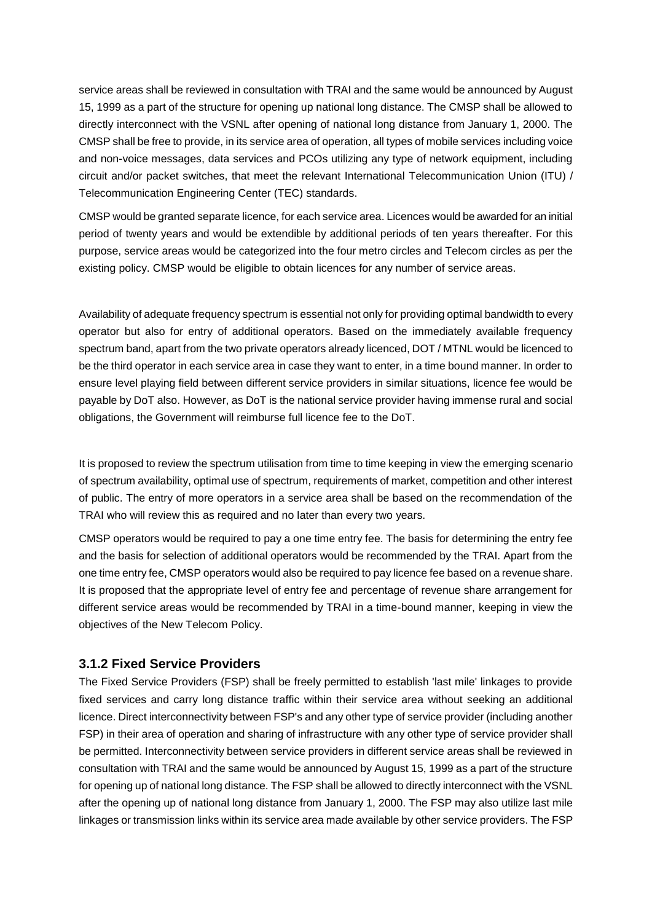service areas shall be reviewed in consultation with TRAI and the same would be announced by August 15, 1999 as a part of the structure for opening up national long distance. The CMSP shall be allowed to directly interconnect with the VSNL after opening of national long distance from January 1, 2000. The CMSP shall be free to provide, in its service area of operation, all types of mobile services including voice and non-voice messages, data services and PCOs utilizing any type of network equipment, including circuit and/or packet switches, that meet the relevant International Telecommunication Union (ITU) / Telecommunication Engineering Center (TEC) standards.

CMSP would be granted separate licence, for each service area. Licences would be awarded for an initial period of twenty years and would be extendible by additional periods of ten years thereafter. For this purpose, service areas would be categorized into the four metro circles and Telecom circles as per the existing policy. CMSP would be eligible to obtain licences for any number of service areas.

Availability of adequate frequency spectrum is essential not only for providing optimal bandwidth to every operator but also for entry of additional operators. Based on the immediately available frequency spectrum band, apart from the two private operators already licenced, DOT / MTNL would be licenced to be the third operator in each service area in case they want to enter, in a time bound manner. In order to ensure level playing field between different service providers in similar situations, licence fee would be payable by DoT also. However, as DoT is the national service provider having immense rural and social obligations, the Government will reimburse full licence fee to the DoT.

It is proposed to review the spectrum utilisation from time to time keeping in view the emerging scenario of spectrum availability, optimal use of spectrum, requirements of market, competition and other interest of public. The entry of more operators in a service area shall be based on the recommendation of the TRAI who will review this as required and no later than every two years.

CMSP operators would be required to pay a one time entry fee. The basis for determining the entry fee and the basis for selection of additional operators would be recommended by the TRAI. Apart from the one time entry fee, CMSP operators would also be required to pay licence fee based on a revenue share. It is proposed that the appropriate level of entry fee and percentage of revenue share arrangement for different service areas would be recommended by TRAI in a time-bound manner, keeping in view the objectives of the New Telecom Policy.

#### **3.1.2 Fixed Service Providers**

The Fixed Service Providers (FSP) shall be freely permitted to establish 'last mile' linkages to provide fixed services and carry long distance traffic within their service area without seeking an additional licence. Direct interconnectivity between FSP's and any other type of service provider (including another FSP) in their area of operation and sharing of infrastructure with any other type of service provider shall be permitted. Interconnectivity between service providers in different service areas shall be reviewed in consultation with TRAI and the same would be announced by August 15, 1999 as a part of the structure for opening up of national long distance. The FSP shall be allowed to directly interconnect with the VSNL after the opening up of national long distance from January 1, 2000. The FSP may also utilize last mile linkages or transmission links within its service area made available by other service providers. The FSP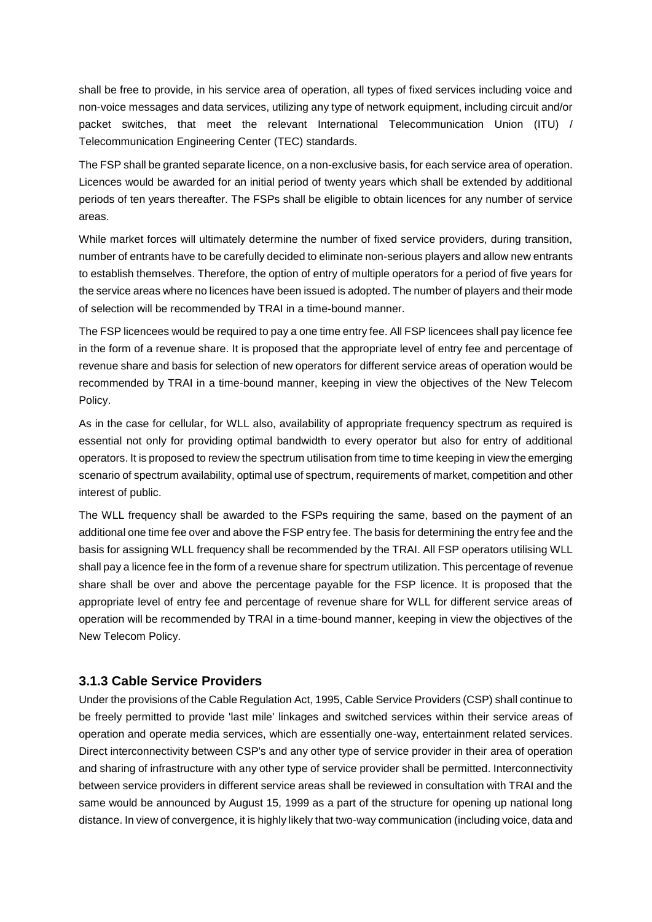shall be free to provide, in his service area of operation, all types of fixed services including voice and non-voice messages and data services, utilizing any type of network equipment, including circuit and/or packet switches, that meet the relevant International Telecommunication Union (ITU) / Telecommunication Engineering Center (TEC) standards.

The FSP shall be granted separate licence, on a non-exclusive basis, for each service area of operation. Licences would be awarded for an initial period of twenty years which shall be extended by additional periods of ten years thereafter. The FSPs shall be eligible to obtain licences for any number of service areas.

While market forces will ultimately determine the number of fixed service providers, during transition, number of entrants have to be carefully decided to eliminate non-serious players and allow new entrants to establish themselves. Therefore, the option of entry of multiple operators for a period of five years for the service areas where no licences have been issued is adopted. The number of players and their mode of selection will be recommended by TRAI in a time-bound manner.

The FSP licencees would be required to pay a one time entry fee. All FSP licencees shall pay licence fee in the form of a revenue share. It is proposed that the appropriate level of entry fee and percentage of revenue share and basis for selection of new operators for different service areas of operation would be recommended by TRAI in a time-bound manner, keeping in view the objectives of the New Telecom Policy.

As in the case for cellular, for WLL also, availability of appropriate frequency spectrum as required is essential not only for providing optimal bandwidth to every operator but also for entry of additional operators. It is proposed to review the spectrum utilisation from time to time keeping in view the emerging scenario of spectrum availability, optimal use of spectrum, requirements of market, competition and other interest of public.

The WLL frequency shall be awarded to the FSPs requiring the same, based on the payment of an additional one time fee over and above the FSP entry fee. The basis for determining the entry fee and the basis for assigning WLL frequency shall be recommended by the TRAI. All FSP operators utilising WLL shall pay a licence fee in the form of a revenue share for spectrum utilization. This percentage of revenue share shall be over and above the percentage payable for the FSP licence. It is proposed that the appropriate level of entry fee and percentage of revenue share for WLL for different service areas of operation will be recommended by TRAI in a time-bound manner, keeping in view the objectives of the New Telecom Policy.

### **3.1.3 Cable Service Providers**

Under the provisions of the Cable Regulation Act, 1995, Cable Service Providers (CSP) shall continue to be freely permitted to provide 'last mile' linkages and switched services within their service areas of operation and operate media services, which are essentially one-way, entertainment related services. Direct interconnectivity between CSP's and any other type of service provider in their area of operation and sharing of infrastructure with any other type of service provider shall be permitted. Interconnectivity between service providers in different service areas shall be reviewed in consultation with TRAI and the same would be announced by August 15, 1999 as a part of the structure for opening up national long distance. In view of convergence, it is highly likely that two-way communication (including voice, data and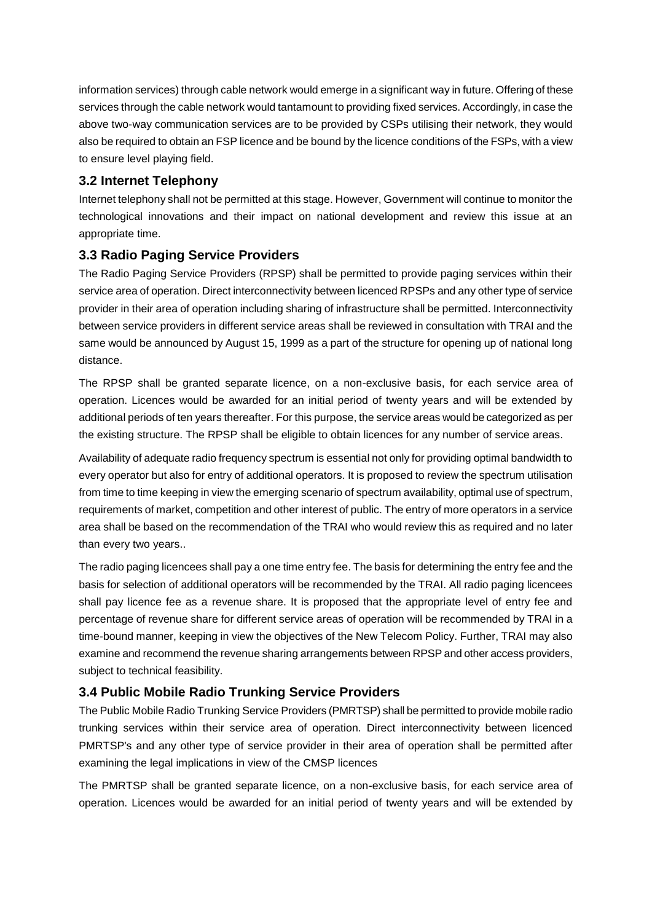information services) through cable network would emerge in a significant way in future. Offering of these services through the cable network would tantamount to providing fixed services. Accordingly, in case the above two-way communication services are to be provided by CSPs utilising their network, they would also be required to obtain an FSP licence and be bound by the licence conditions of the FSPs, with a view to ensure level playing field.

## **3.2 Internet Telephony**

Internet telephony shall not be permitted at this stage. However, Government will continue to monitor the technological innovations and their impact on national development and review this issue at an appropriate time.

## **3.3 Radio Paging Service Providers**

The Radio Paging Service Providers (RPSP) shall be permitted to provide paging services within their service area of operation. Direct interconnectivity between licenced RPSPs and any other type of service provider in their area of operation including sharing of infrastructure shall be permitted. Interconnectivity between service providers in different service areas shall be reviewed in consultation with TRAI and the same would be announced by August 15, 1999 as a part of the structure for opening up of national long distance.

The RPSP shall be granted separate licence, on a non-exclusive basis, for each service area of operation. Licences would be awarded for an initial period of twenty years and will be extended by additional periods of ten years thereafter. For this purpose, the service areas would be categorized as per the existing structure. The RPSP shall be eligible to obtain licences for any number of service areas.

Availability of adequate radio frequency spectrum is essential not only for providing optimal bandwidth to every operator but also for entry of additional operators. It is proposed to review the spectrum utilisation from time to time keeping in view the emerging scenario of spectrum availability, optimal use of spectrum, requirements of market, competition and other interest of public. The entry of more operators in a service area shall be based on the recommendation of the TRAI who would review this as required and no later than every two years..

The radio paging licencees shall pay a one time entry fee. The basis for determining the entry fee and the basis for selection of additional operators will be recommended by the TRAI. All radio paging licencees shall pay licence fee as a revenue share. It is proposed that the appropriate level of entry fee and percentage of revenue share for different service areas of operation will be recommended by TRAI in a time-bound manner, keeping in view the objectives of the New Telecom Policy. Further, TRAI may also examine and recommend the revenue sharing arrangements between RPSP and other access providers, subject to technical feasibility.

## **3.4 Public Mobile Radio Trunking Service Providers**

The Public Mobile Radio Trunking Service Providers (PMRTSP) shall be permitted to provide mobile radio trunking services within their service area of operation. Direct interconnectivity between licenced PMRTSP's and any other type of service provider in their area of operation shall be permitted after examining the legal implications in view of the CMSP licences

The PMRTSP shall be granted separate licence, on a non-exclusive basis, for each service area of operation. Licences would be awarded for an initial period of twenty years and will be extended by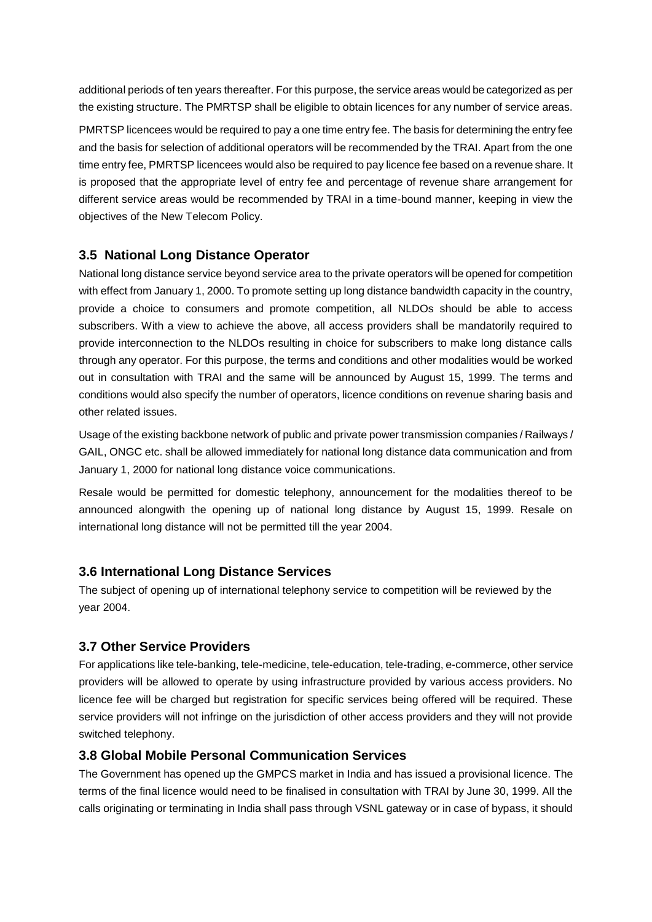additional periods of ten years thereafter. For this purpose, the service areas would be categorized as per the existing structure. The PMRTSP shall be eligible to obtain licences for any number of service areas.

PMRTSP licencees would be required to pay a one time entry fee. The basis for determining the entry fee and the basis for selection of additional operators will be recommended by the TRAI. Apart from the one time entry fee, PMRTSP licencees would also be required to pay licence fee based on a revenue share. It is proposed that the appropriate level of entry fee and percentage of revenue share arrangement for different service areas would be recommended by TRAI in a time-bound manner, keeping in view the objectives of the New Telecom Policy.

## **3.5 National Long Distance Operator**

National long distance service beyond service area to the private operators will be opened for competition with effect from January 1, 2000. To promote setting up long distance bandwidth capacity in the country, provide a choice to consumers and promote competition, all NLDOs should be able to access subscribers. With a view to achieve the above, all access providers shall be mandatorily required to provide interconnection to the NLDOs resulting in choice for subscribers to make long distance calls through any operator. For this purpose, the terms and conditions and other modalities would be worked out in consultation with TRAI and the same will be announced by August 15, 1999. The terms and conditions would also specify the number of operators, licence conditions on revenue sharing basis and other related issues.

Usage of the existing backbone network of public and private power transmission companies / Railways / GAIL, ONGC etc. shall be allowed immediately for national long distance data communication and from January 1, 2000 for national long distance voice communications.

Resale would be permitted for domestic telephony, announcement for the modalities thereof to be announced alongwith the opening up of national long distance by August 15, 1999. Resale on international long distance will not be permitted till the year 2004.

## **3.6 International Long Distance Services**

The subject of opening up of international telephony service to competition will be reviewed by the year 2004.

## **3.7 Other Service Providers**

For applications like tele-banking, tele-medicine, tele-education, tele-trading, e-commerce, other service providers will be allowed to operate by using infrastructure provided by various access providers. No licence fee will be charged but registration for specific services being offered will be required. These service providers will not infringe on the jurisdiction of other access providers and they will not provide switched telephony.

## **3.8 Global Mobile Personal Communication Services**

The Government has opened up the GMPCS market in India and has issued a provisional licence. The terms of the final licence would need to be finalised in consultation with TRAI by June 30, 1999. All the calls originating or terminating in India shall pass through VSNL gateway or in case of bypass, it should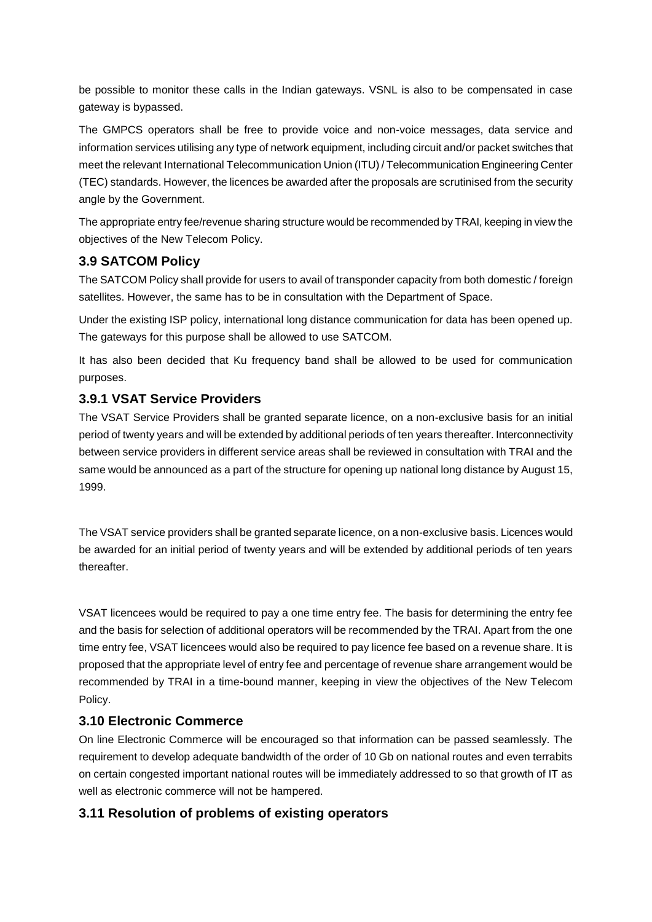be possible to monitor these calls in the Indian gateways. VSNL is also to be compensated in case gateway is bypassed.

The GMPCS operators shall be free to provide voice and non-voice messages, data service and information services utilising any type of network equipment, including circuit and/or packet switches that meet the relevant International Telecommunication Union (ITU) / Telecommunication Engineering Center (TEC) standards. However, the licences be awarded after the proposals are scrutinised from the security angle by the Government.

The appropriate entry fee/revenue sharing structure would be recommended by TRAI, keeping in view the objectives of the New Telecom Policy.

## **3.9 SATCOM Policy**

The SATCOM Policy shall provide for users to avail of transponder capacity from both domestic / foreign satellites. However, the same has to be in consultation with the Department of Space.

Under the existing ISP policy, international long distance communication for data has been opened up. The gateways for this purpose shall be allowed to use SATCOM.

It has also been decided that Ku frequency band shall be allowed to be used for communication purposes.

### **3.9.1 VSAT Service Providers**

The VSAT Service Providers shall be granted separate licence, on a non-exclusive basis for an initial period of twenty years and will be extended by additional periods of ten years thereafter. Interconnectivity between service providers in different service areas shall be reviewed in consultation with TRAI and the same would be announced as a part of the structure for opening up national long distance by August 15, 1999.

The VSAT service providers shall be granted separate licence, on a non-exclusive basis. Licences would be awarded for an initial period of twenty years and will be extended by additional periods of ten years thereafter.

VSAT licencees would be required to pay a one time entry fee. The basis for determining the entry fee and the basis for selection of additional operators will be recommended by the TRAI. Apart from the one time entry fee, VSAT licencees would also be required to pay licence fee based on a revenue share. It is proposed that the appropriate level of entry fee and percentage of revenue share arrangement would be recommended by TRAI in a time-bound manner, keeping in view the objectives of the New Telecom Policy.

## **3.10 Electronic Commerce**

On line Electronic Commerce will be encouraged so that information can be passed seamlessly. The requirement to develop adequate bandwidth of the order of 10 Gb on national routes and even terrabits on certain congested important national routes will be immediately addressed to so that growth of IT as well as electronic commerce will not be hampered.

### **3.11 Resolution of problems of existing operators**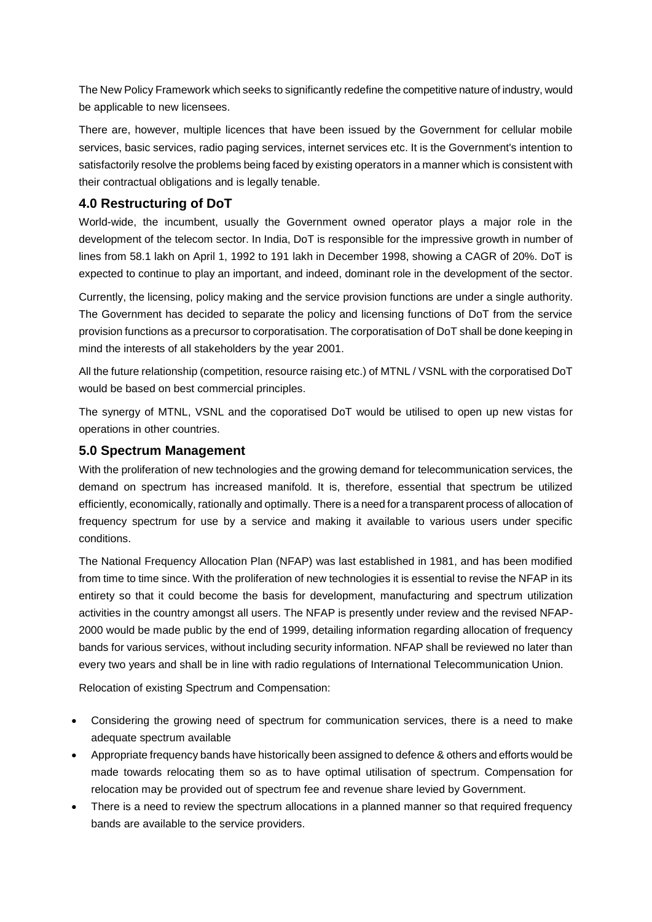The New Policy Framework which seeks to significantly redefine the competitive nature of industry, would be applicable to new licensees.

There are, however, multiple licences that have been issued by the Government for cellular mobile services, basic services, radio paging services, internet services etc. It is the Government's intention to satisfactorily resolve the problems being faced by existing operators in a manner which is consistent with their contractual obligations and is legally tenable.

### **4.0 Restructuring of DoT**

World-wide, the incumbent, usually the Government owned operator plays a major role in the development of the telecom sector. In India, DoT is responsible for the impressive growth in number of lines from 58.1 lakh on April 1, 1992 to 191 lakh in December 1998, showing a CAGR of 20%. DoT is expected to continue to play an important, and indeed, dominant role in the development of the sector.

Currently, the licensing, policy making and the service provision functions are under a single authority. The Government has decided to separate the policy and licensing functions of DoT from the service provision functions as a precursor to corporatisation. The corporatisation of DoT shall be done keeping in mind the interests of all stakeholders by the year 2001.

All the future relationship (competition, resource raising etc.) of MTNL / VSNL with the corporatised DoT would be based on best commercial principles.

The synergy of MTNL, VSNL and the coporatised DoT would be utilised to open up new vistas for operations in other countries.

#### **5.0 Spectrum Management**

With the proliferation of new technologies and the growing demand for telecommunication services, the demand on spectrum has increased manifold. It is, therefore, essential that spectrum be utilized efficiently, economically, rationally and optimally. There is a need for a transparent process of allocation of frequency spectrum for use by a service and making it available to various users under specific conditions.

The National Frequency Allocation Plan (NFAP) was last established in 1981, and has been modified from time to time since. With the proliferation of new technologies it is essential to revise the NFAP in its entirety so that it could become the basis for development, manufacturing and spectrum utilization activities in the country amongst all users. The NFAP is presently under review and the revised NFAP-2000 would be made public by the end of 1999, detailing information regarding allocation of frequency bands for various services, without including security information. NFAP shall be reviewed no later than every two years and shall be in line with radio regulations of International Telecommunication Union.

Relocation of existing Spectrum and Compensation:

- Considering the growing need of spectrum for communication services, there is a need to make adequate spectrum available
- Appropriate frequency bands have historically been assigned to defence & others and efforts would be made towards relocating them so as to have optimal utilisation of spectrum. Compensation for relocation may be provided out of spectrum fee and revenue share levied by Government.
- There is a need to review the spectrum allocations in a planned manner so that required frequency bands are available to the service providers.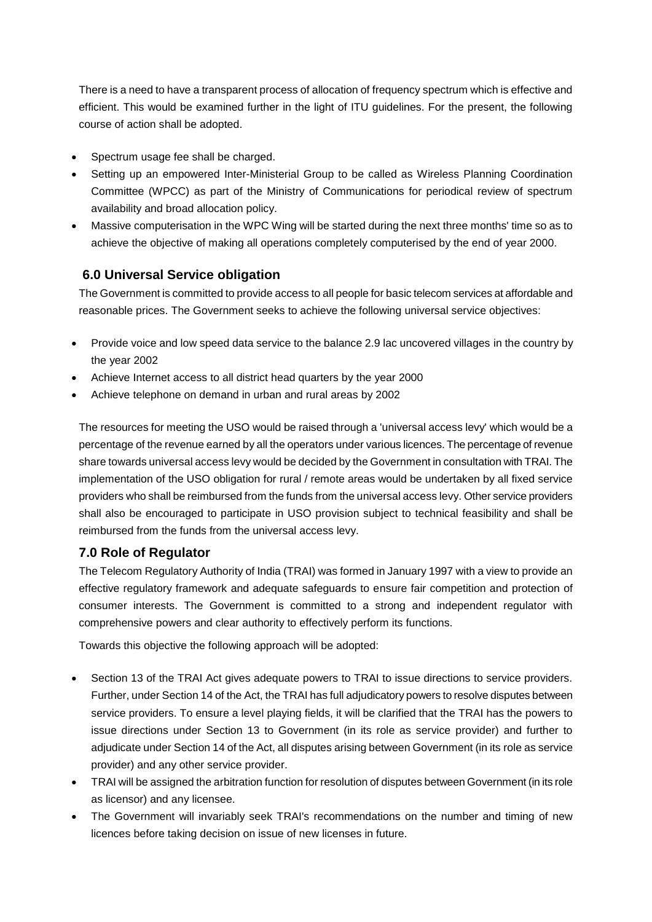There is a need to have a transparent process of allocation of frequency spectrum which is effective and efficient. This would be examined further in the light of ITU guidelines. For the present, the following course of action shall be adopted.

- Spectrum usage fee shall be charged.
- Setting up an empowered Inter-Ministerial Group to be called as Wireless Planning Coordination Committee (WPCC) as part of the Ministry of Communications for periodical review of spectrum availability and broad allocation policy.
- Massive computerisation in the WPC Wing will be started during the next three months' time so as to achieve the objective of making all operations completely computerised by the end of year 2000.

## **6.0 Universal Service obligation**

The Government is committed to provide access to all people for basic telecom services at affordable and reasonable prices. The Government seeks to achieve the following universal service objectives:

- Provide voice and low speed data service to the balance 2.9 lac uncovered villages in the country by the year 2002
- Achieve Internet access to all district head quarters by the year 2000
- Achieve telephone on demand in urban and rural areas by 2002

The resources for meeting the USO would be raised through a 'universal access levy' which would be a percentage of the revenue earned by all the operators under various licences. The percentage of revenue share towards universal access levy would be decided by the Government in consultation with TRAI. The implementation of the USO obligation for rural / remote areas would be undertaken by all fixed service providers who shall be reimbursed from the funds from the universal access levy. Other service providers shall also be encouraged to participate in USO provision subject to technical feasibility and shall be reimbursed from the funds from the universal access levy.

### **7.0 Role of Regulator**

The Telecom Regulatory Authority of India (TRAI) was formed in January 1997 with a view to provide an effective regulatory framework and adequate safeguards to ensure fair competition and protection of consumer interests. The Government is committed to a strong and independent regulator with comprehensive powers and clear authority to effectively perform its functions.

Towards this objective the following approach will be adopted:

- Section 13 of the TRAI Act gives adequate powers to TRAI to issue directions to service providers. Further, under Section 14 of the Act, the TRAI has full adjudicatory powers to resolve disputes between service providers. To ensure a level playing fields, it will be clarified that the TRAI has the powers to issue directions under Section 13 to Government (in its role as service provider) and further to adjudicate under Section 14 of the Act, all disputes arising between Government (in its role as service provider) and any other service provider.
- TRAI will be assigned the arbitration function for resolution of disputes between Government (in its role as licensor) and any licensee.
- The Government will invariably seek TRAI's recommendations on the number and timing of new licences before taking decision on issue of new licenses in future.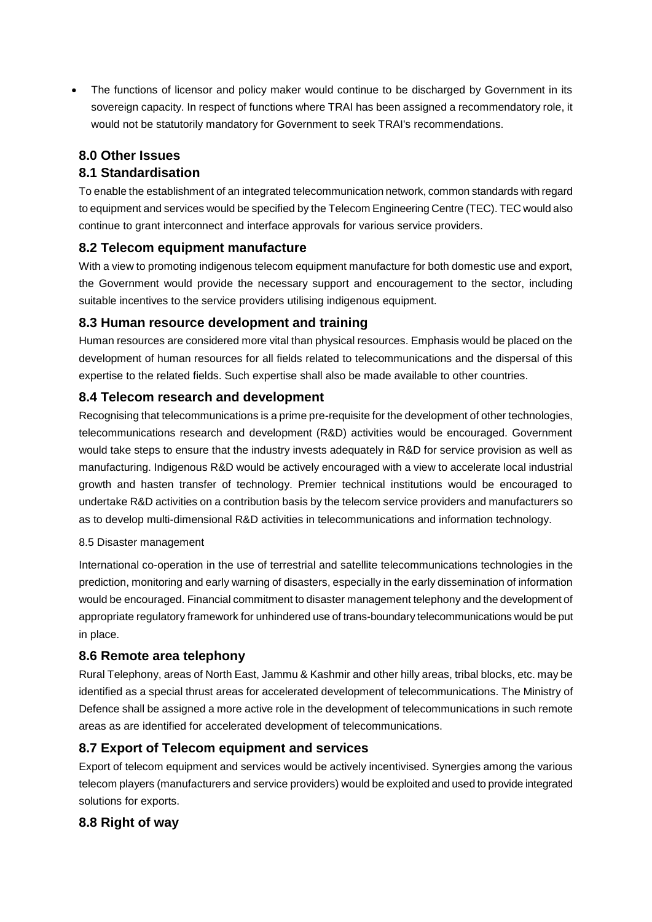The functions of licensor and policy maker would continue to be discharged by Government in its sovereign capacity. In respect of functions where TRAI has been assigned a recommendatory role, it would not be statutorily mandatory for Government to seek TRAI's recommendations.

## **8.0 Other Issues**

### **8.1 Standardisation**

To enable the establishment of an integrated telecommunication network, common standards with regard to equipment and services would be specified by the Telecom Engineering Centre (TEC). TEC would also continue to grant interconnect and interface approvals for various service providers.

### **8.2 Telecom equipment manufacture**

With a view to promoting indigenous telecom equipment manufacture for both domestic use and export, the Government would provide the necessary support and encouragement to the sector, including suitable incentives to the service providers utilising indigenous equipment.

### **8.3 Human resource development and training**

Human resources are considered more vital than physical resources. Emphasis would be placed on the development of human resources for all fields related to telecommunications and the dispersal of this expertise to the related fields. Such expertise shall also be made available to other countries.

## **8.4 Telecom research and development**

Recognising that telecommunications is a prime pre-requisite for the development of other technologies, telecommunications research and development (R&D) activities would be encouraged. Government would take steps to ensure that the industry invests adequately in R&D for service provision as well as manufacturing. Indigenous R&D would be actively encouraged with a view to accelerate local industrial growth and hasten transfer of technology. Premier technical institutions would be encouraged to undertake R&D activities on a contribution basis by the telecom service providers and manufacturers so as to develop multi-dimensional R&D activities in telecommunications and information technology.

#### 8.5 Disaster management

International co-operation in the use of terrestrial and satellite telecommunications technologies in the prediction, monitoring and early warning of disasters, especially in the early dissemination of information would be encouraged. Financial commitment to disaster management telephony and the development of appropriate regulatory framework for unhindered use of trans-boundary telecommunications would be put in place.

### **8.6 Remote area telephony**

Rural Telephony, areas of North East, Jammu & Kashmir and other hilly areas, tribal blocks, etc. may be identified as a special thrust areas for accelerated development of telecommunications. The Ministry of Defence shall be assigned a more active role in the development of telecommunications in such remote areas as are identified for accelerated development of telecommunications.

## **8.7 Export of Telecom equipment and services**

Export of telecom equipment and services would be actively incentivised. Synergies among the various telecom players (manufacturers and service providers) would be exploited and used to provide integrated solutions for exports.

## **8.8 Right of way**